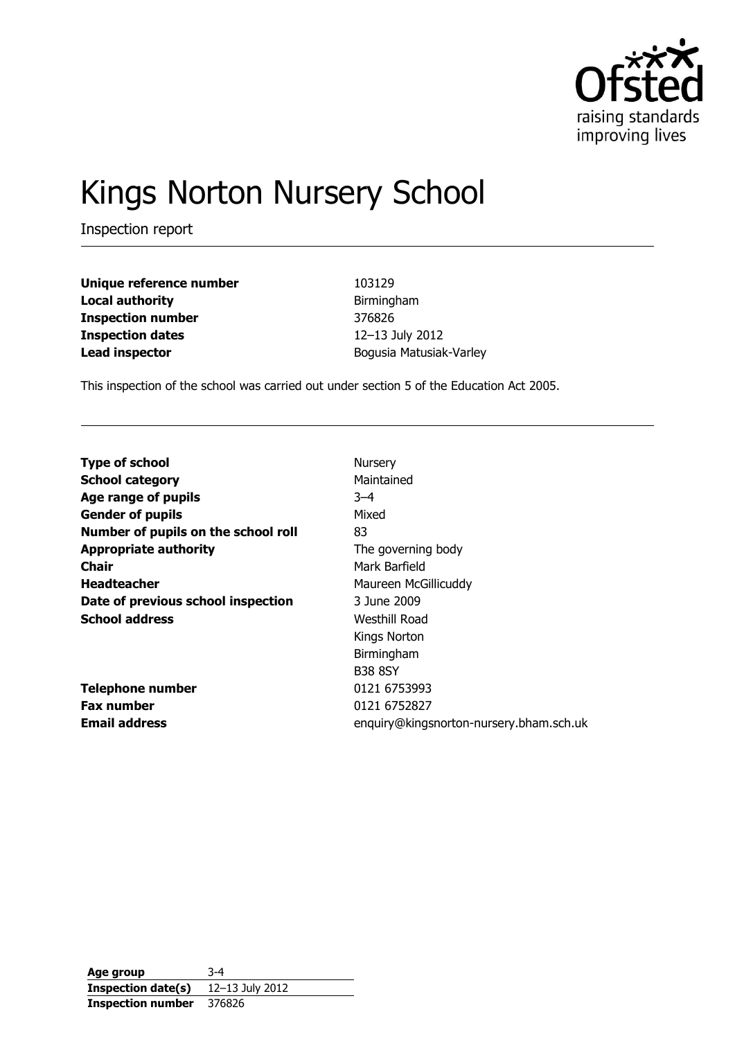

# Kings Norton Nursery School

Inspection report

| Unique reference number  |
|--------------------------|
| <b>Local authority</b>   |
| <b>Inspection number</b> |
| <b>Inspection dates</b>  |
| <b>Lead inspector</b>    |

**Unique reference number** 103129 **Local authority** Birmingham **Inspection number** 376826 **Inspection dates** 12–13 July 2012 **Lead inspector** Bogusia Matusiak-Varley

This inspection of the school was carried out under section 5 of the Education Act 2005.

| <b>Type of school</b>               | Nursery                                 |
|-------------------------------------|-----------------------------------------|
| <b>School category</b>              | Maintained                              |
| Age range of pupils                 | $3 - 4$                                 |
| <b>Gender of pupils</b>             | Mixed                                   |
| Number of pupils on the school roll | 83                                      |
| <b>Appropriate authority</b>        | The governing body                      |
| Chair                               | Mark Barfield                           |
| <b>Headteacher</b>                  | Maureen McGillicuddy                    |
| Date of previous school inspection  | 3 June 2009                             |
| <b>School address</b>               | Westhill Road                           |
|                                     | Kings Norton                            |
|                                     | Birmingham                              |
|                                     | <b>B38 8SY</b>                          |
| <b>Telephone number</b>             | 0121 6753993                            |
| <b>Fax number</b>                   | 0121 6752827                            |
| <b>Email address</b>                | enquiry@kingsnorton-nursery.bham.sch.uk |

**Age group** 3-4 **Inspection date(s)** 12–13 July 2012 **Inspection number** 376826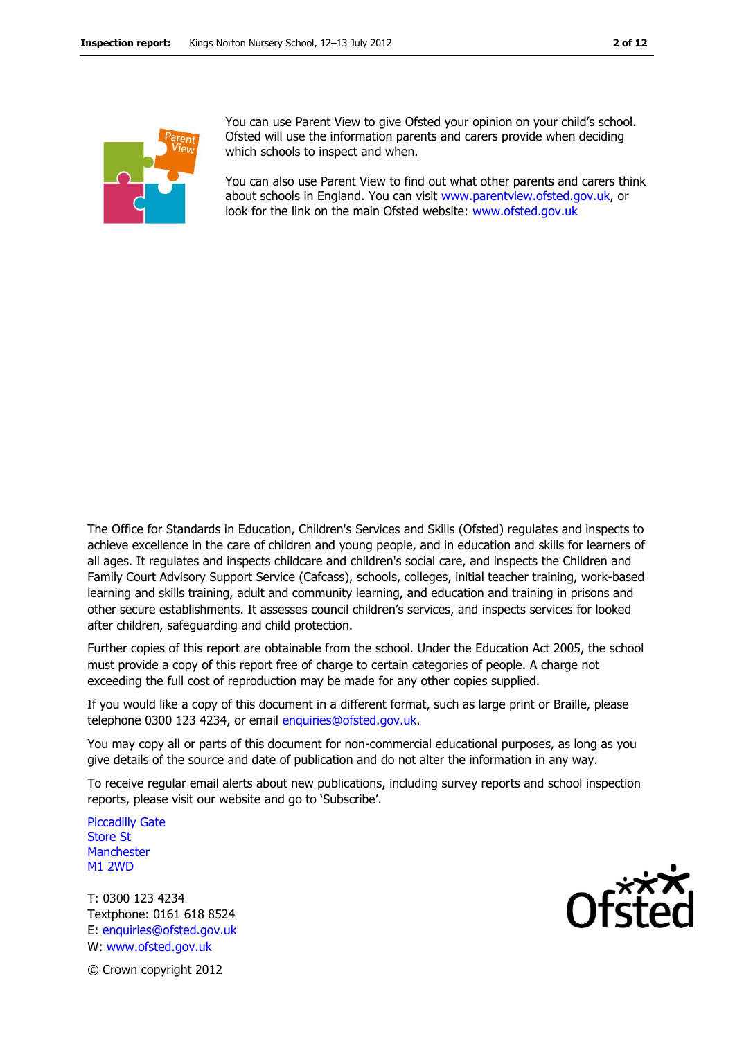

You can use Parent View to give Ofsted your opinion on your child's school. Ofsted will use the information parents and carers provide when deciding which schools to inspect and when.

You can also use Parent View to find out what other parents and carers think about schools in England. You can visit [www.parentview.ofsted.gov.uk,](http://www.parentview.ofsted.gov.uk/) or look for the link on the main Ofsted website: [www.ofsted.gov.uk](http://www.ofsted.gov.uk/)

The Office for Standards in Education, Children's Services and Skills (Ofsted) regulates and inspects to achieve excellence in the care of children and young people, and in education and skills for learners of all ages. It regulates and inspects childcare and children's social care, and inspects the Children and Family Court Advisory Support Service (Cafcass), schools, colleges, initial teacher training, work-based learning and skills training, adult and community learning, and education and training in prisons and other secure establishments. It assesses council children's services, and inspects services for looked after children, safeguarding and child protection.

Further copies of this report are obtainable from the school. Under the Education Act 2005, the school must provide a copy of this report free of charge to certain categories of people. A charge not exceeding the full cost of reproduction may be made for any other copies supplied.

If you would like a copy of this document in a different format, such as large print or Braille, please telephone 0300 123 4234, or email enquiries@ofsted.gov.uk.

You may copy all or parts of this document for non-commercial educational purposes, as long as you give details of the source and date of publication and do not alter the information in any way.

To receive regular email alerts about new publications, including survey reports and school inspection reports, please visit our website and go to 'Subscribe'.

Piccadilly Gate Store St **Manchester** M1 2WD

T: 0300 123 4234 Textphone: 0161 618 8524 E: enquiries@ofsted.gov.uk W: www.ofsted.gov.uk



© Crown copyright 2012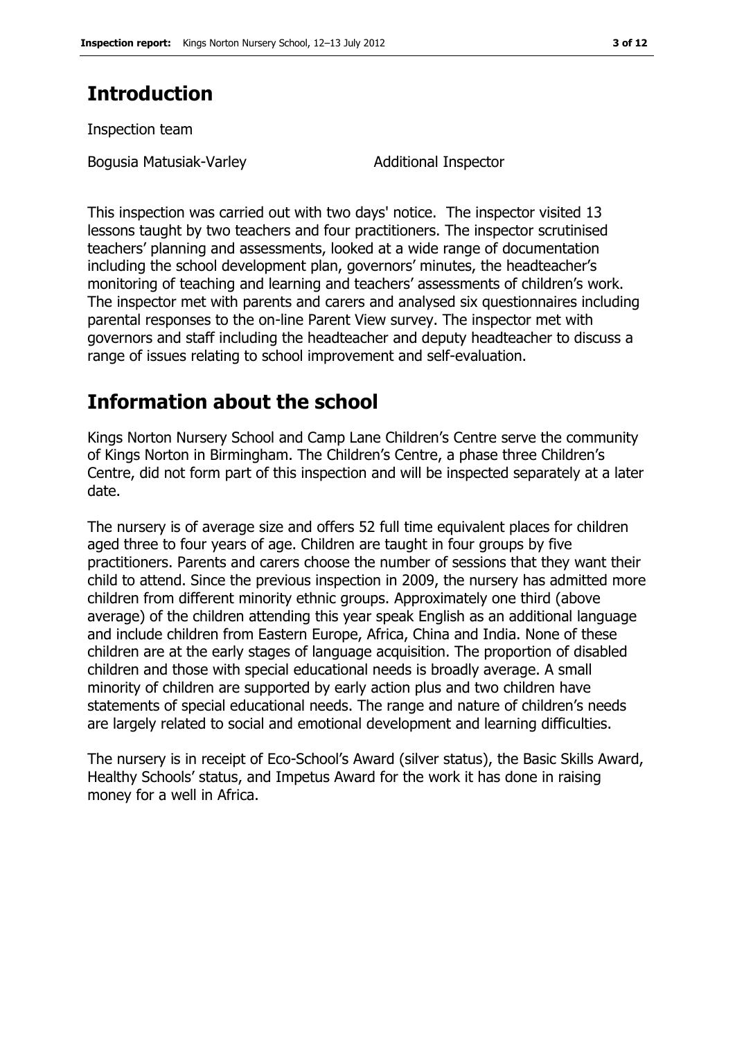## **Introduction**

Inspection team

Bogusia Matusiak-Varley Matusiak-Varley Additional Inspector

This inspection was carried out with two days' notice. The inspector visited 13 lessons taught by two teachers and four practitioners. The inspector scrutinised teachers' planning and assessments, looked at a wide range of documentation including the school development plan, governors' minutes, the headteacher's monitoring of teaching and learning and teachers' assessments of children's work. The inspector met with parents and carers and analysed six questionnaires including parental responses to the on-line Parent View survey. The inspector met with governors and staff including the headteacher and deputy headteacher to discuss a range of issues relating to school improvement and self-evaluation.

## **Information about the school**

Kings Norton Nursery School and Camp Lane Children's Centre serve the community of Kings Norton in Birmingham. The Children's Centre, a phase three Children's Centre, did not form part of this inspection and will be inspected separately at a later date.

The nursery is of average size and offers 52 full time equivalent places for children aged three to four years of age. Children are taught in four groups by five practitioners. Parents and carers choose the number of sessions that they want their child to attend. Since the previous inspection in 2009, the nursery has admitted more children from different minority ethnic groups. Approximately one third (above average) of the children attending this year speak English as an additional language and include children from Eastern Europe, Africa, China and India. None of these children are at the early stages of language acquisition. The proportion of disabled children and those with special educational needs is broadly average. A small minority of children are supported by early action plus and two children have statements of special educational needs. The range and nature of children's needs are largely related to social and emotional development and learning difficulties.

The nursery is in receipt of Eco-School's Award (silver status), the Basic Skills Award, Healthy Schools' status, and Impetus Award for the work it has done in raising money for a well in Africa.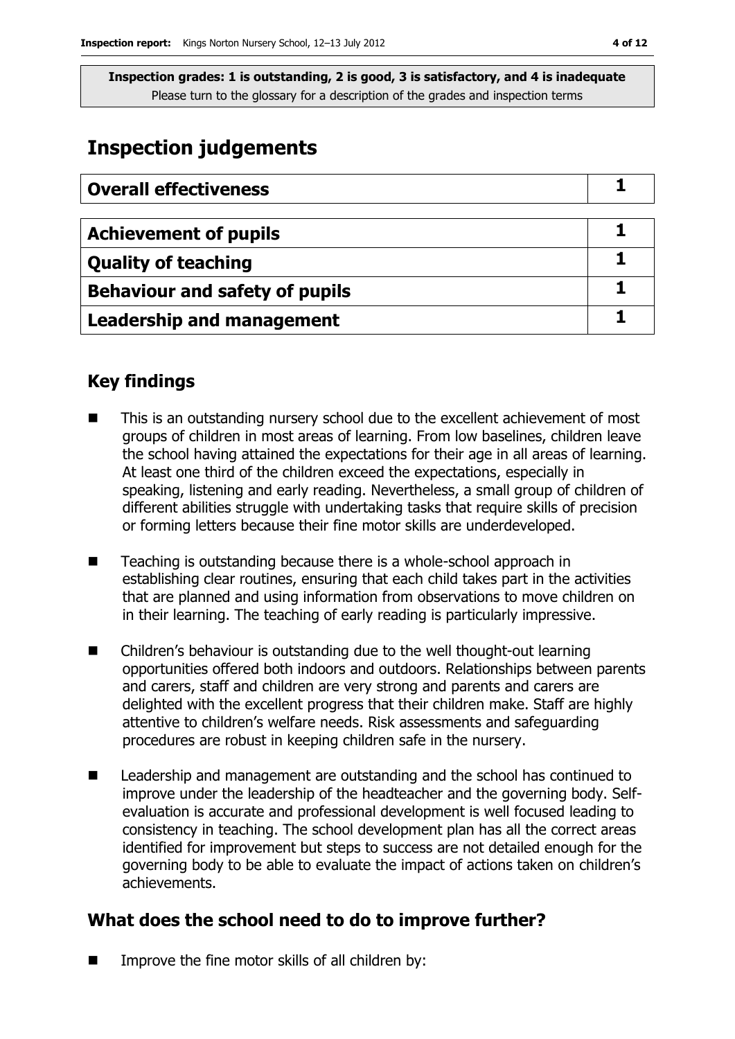## **Inspection judgements**

| <b>Overall effectiveness</b>          |  |
|---------------------------------------|--|
|                                       |  |
| <b>Achievement of pupils</b>          |  |
| <b>Quality of teaching</b>            |  |
| <b>Behaviour and safety of pupils</b> |  |
| <b>Leadership and management</b>      |  |

## **Key findings**

- This is an outstanding nursery school due to the excellent achievement of most groups of children in most areas of learning. From low baselines, children leave the school having attained the expectations for their age in all areas of learning. At least one third of the children exceed the expectations, especially in speaking, listening and early reading. Nevertheless, a small group of children of different abilities struggle with undertaking tasks that require skills of precision or forming letters because their fine motor skills are underdeveloped.
- Teaching is outstanding because there is a whole-school approach in establishing clear routines, ensuring that each child takes part in the activities that are planned and using information from observations to move children on in their learning. The teaching of early reading is particularly impressive.
- Children's behaviour is outstanding due to the well thought-out learning opportunities offered both indoors and outdoors. Relationships between parents and carers, staff and children are very strong and parents and carers are delighted with the excellent progress that their children make. Staff are highly attentive to children's welfare needs. Risk assessments and safeguarding procedures are robust in keeping children safe in the nursery.
- Leadership and management are outstanding and the school has continued to improve under the leadership of the headteacher and the governing body. Selfevaluation is accurate and professional development is well focused leading to consistency in teaching. The school development plan has all the correct areas identified for improvement but steps to success are not detailed enough for the governing body to be able to evaluate the impact of actions taken on children's achievements.

## **What does the school need to do to improve further?**

Improve the fine motor skills of all children by: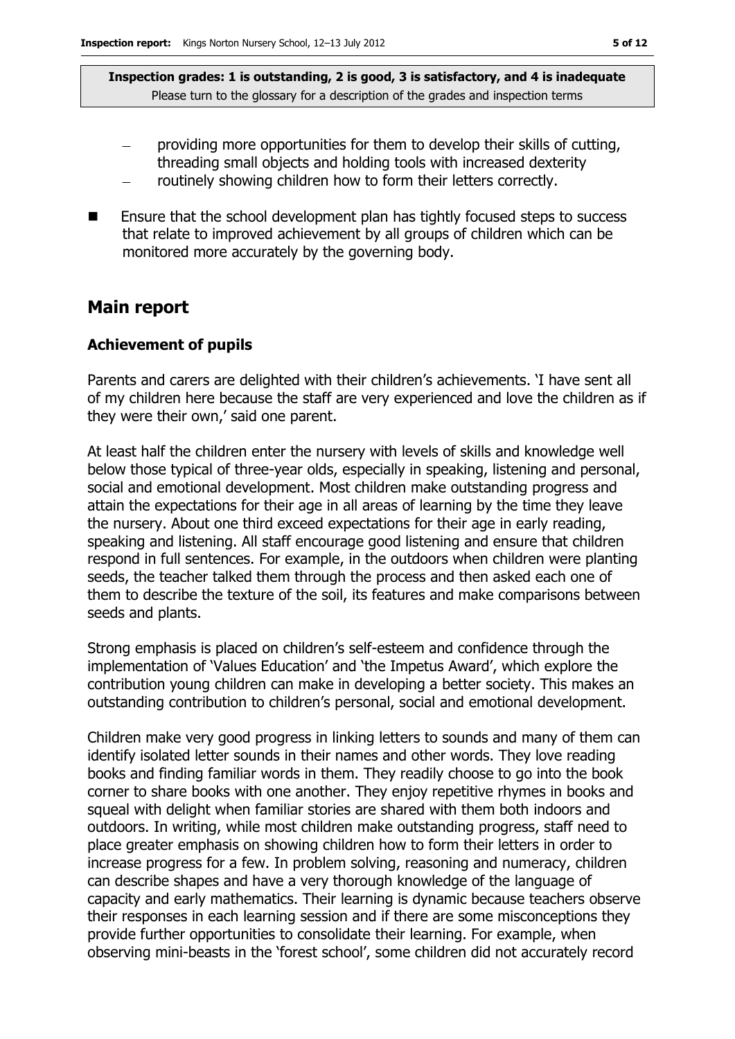- providing more opportunities for them to develop their skills of cutting, threading small objects and holding tools with increased dexterity
- routinely showing children how to form their letters correctly.
- $\blacksquare$  Ensure that the school development plan has tightly focused steps to success that relate to improved achievement by all groups of children which can be monitored more accurately by the governing body.

### **Main report**

#### **Achievement of pupils**

Parents and carers are delighted with their children's achievements. 'I have sent all of my children here because the staff are very experienced and love the children as if they were their own,' said one parent.

At least half the children enter the nursery with levels of skills and knowledge well below those typical of three-year olds, especially in speaking, listening and personal, social and emotional development. Most children make outstanding progress and attain the expectations for their age in all areas of learning by the time they leave the nursery. About one third exceed expectations for their age in early reading, speaking and listening. All staff encourage good listening and ensure that children respond in full sentences. For example, in the outdoors when children were planting seeds, the teacher talked them through the process and then asked each one of them to describe the texture of the soil, its features and make comparisons between seeds and plants.

Strong emphasis is placed on children's self-esteem and confidence through the implementation of 'Values Education' and 'the Impetus Award', which explore the contribution young children can make in developing a better society. This makes an outstanding contribution to children's personal, social and emotional development.

Children make very good progress in linking letters to sounds and many of them can identify isolated letter sounds in their names and other words. They love reading books and finding familiar words in them. They readily choose to go into the book corner to share books with one another. They enjoy repetitive rhymes in books and squeal with delight when familiar stories are shared with them both indoors and outdoors. In writing, while most children make outstanding progress, staff need to place greater emphasis on showing children how to form their letters in order to increase progress for a few. In problem solving, reasoning and numeracy, children can describe shapes and have a very thorough knowledge of the language of capacity and early mathematics. Their learning is dynamic because teachers observe their responses in each learning session and if there are some misconceptions they provide further opportunities to consolidate their learning. For example, when observing mini-beasts in the 'forest school', some children did not accurately record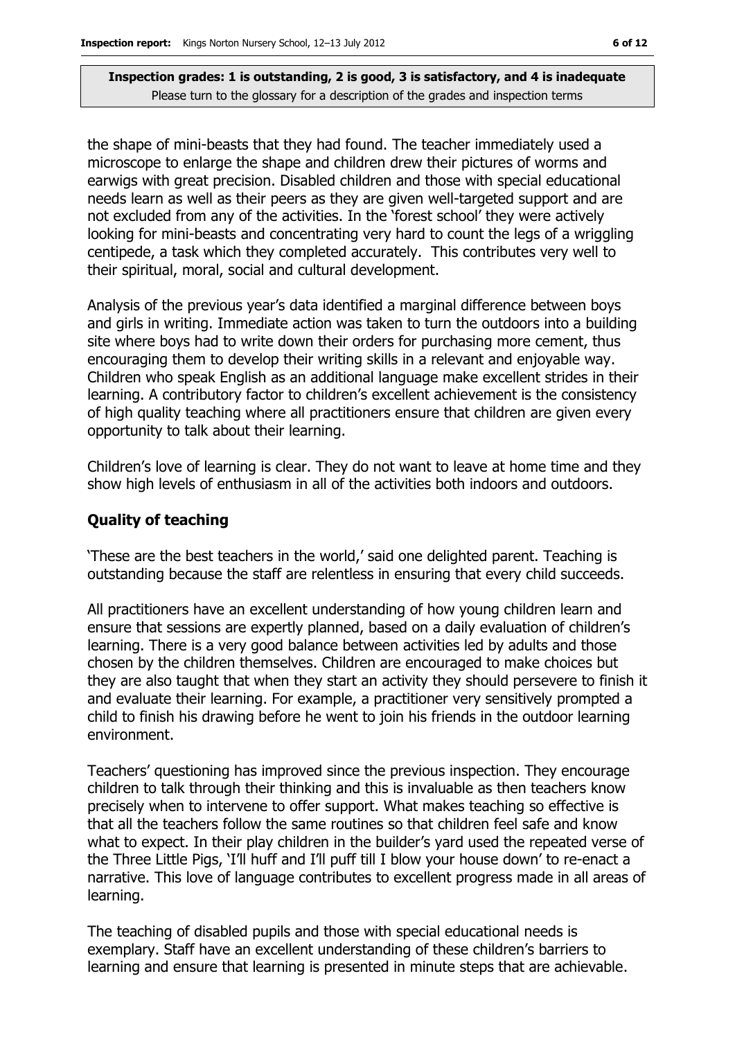the shape of mini-beasts that they had found. The teacher immediately used a microscope to enlarge the shape and children drew their pictures of worms and earwigs with great precision. Disabled children and those with special educational needs learn as well as their peers as they are given well-targeted support and are not excluded from any of the activities. In the 'forest school' they were actively looking for mini-beasts and concentrating very hard to count the legs of a wriggling centipede, a task which they completed accurately. This contributes very well to their spiritual, moral, social and cultural development.

Analysis of the previous year's data identified a marginal difference between boys and girls in writing. Immediate action was taken to turn the outdoors into a building site where boys had to write down their orders for purchasing more cement, thus encouraging them to develop their writing skills in a relevant and enjoyable way. Children who speak English as an additional language make excellent strides in their learning. A contributory factor to children's excellent achievement is the consistency of high quality teaching where all practitioners ensure that children are given every opportunity to talk about their learning.

Children's love of learning is clear. They do not want to leave at home time and they show high levels of enthusiasm in all of the activities both indoors and outdoors.

#### **Quality of teaching**

'These are the best teachers in the world,' said one delighted parent. Teaching is outstanding because the staff are relentless in ensuring that every child succeeds.

All practitioners have an excellent understanding of how young children learn and ensure that sessions are expertly planned, based on a daily evaluation of children's learning. There is a very good balance between activities led by adults and those chosen by the children themselves. Children are encouraged to make choices but they are also taught that when they start an activity they should persevere to finish it and evaluate their learning. For example, a practitioner very sensitively prompted a child to finish his drawing before he went to join his friends in the outdoor learning environment.

Teachers' questioning has improved since the previous inspection. They encourage children to talk through their thinking and this is invaluable as then teachers know precisely when to intervene to offer support. What makes teaching so effective is that all the teachers follow the same routines so that children feel safe and know what to expect. In their play children in the builder's yard used the repeated verse of the Three Little Pigs, 'I'll huff and I'll puff till I blow your house down' to re-enact a narrative. This love of language contributes to excellent progress made in all areas of learning.

The teaching of disabled pupils and those with special educational needs is exemplary. Staff have an excellent understanding of these children's barriers to learning and ensure that learning is presented in minute steps that are achievable.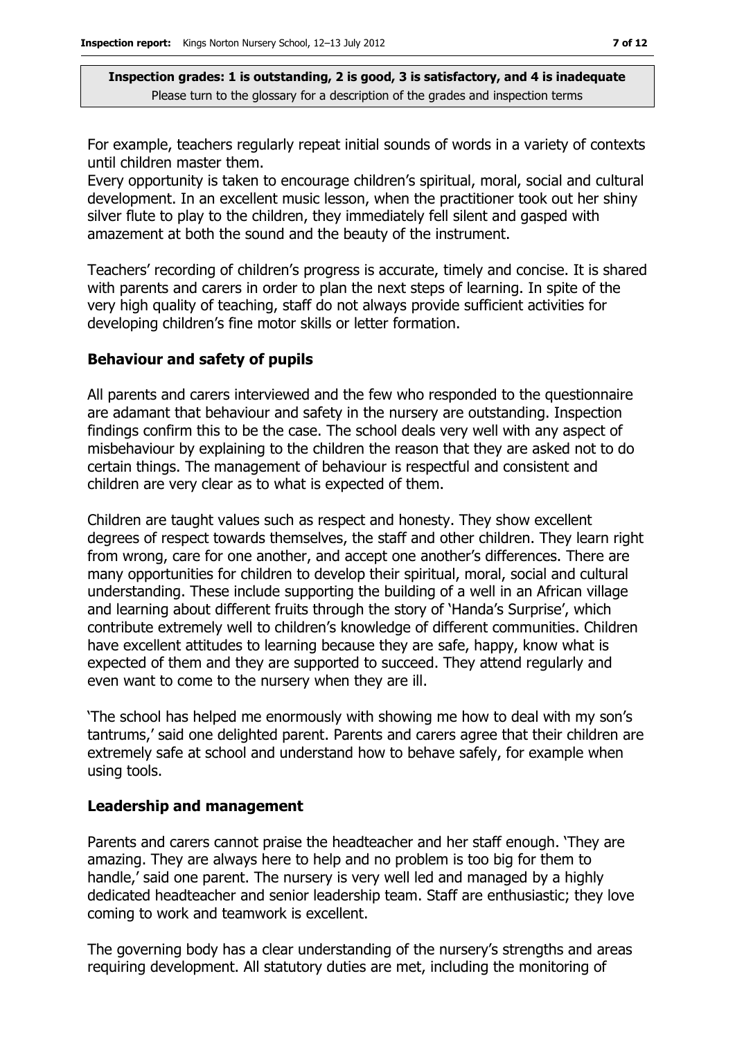For example, teachers regularly repeat initial sounds of words in a variety of contexts until children master them.

Every opportunity is taken to encourage children's spiritual, moral, social and cultural development. In an excellent music lesson, when the practitioner took out her shiny silver flute to play to the children, they immediately fell silent and gasped with amazement at both the sound and the beauty of the instrument.

Teachers' recording of children's progress is accurate, timely and concise. It is shared with parents and carers in order to plan the next steps of learning. In spite of the very high quality of teaching, staff do not always provide sufficient activities for developing children's fine motor skills or letter formation.

#### **Behaviour and safety of pupils**

All parents and carers interviewed and the few who responded to the questionnaire are adamant that behaviour and safety in the nursery are outstanding. Inspection findings confirm this to be the case. The school deals very well with any aspect of misbehaviour by explaining to the children the reason that they are asked not to do certain things. The management of behaviour is respectful and consistent and children are very clear as to what is expected of them.

Children are taught values such as respect and honesty. They show excellent degrees of respect towards themselves, the staff and other children. They learn right from wrong, care for one another, and accept one another's differences. There are many opportunities for children to develop their spiritual, moral, social and cultural understanding. These include supporting the building of a well in an African village and learning about different fruits through the story of 'Handa's Surprise', which contribute extremely well to children's knowledge of different communities. Children have excellent attitudes to learning because they are safe, happy, know what is expected of them and they are supported to succeed. They attend regularly and even want to come to the nursery when they are ill.

'The school has helped me enormously with showing me how to deal with my son's tantrums,' said one delighted parent. Parents and carers agree that their children are extremely safe at school and understand how to behave safely, for example when using tools.

#### **Leadership and management**

Parents and carers cannot praise the headteacher and her staff enough. 'They are amazing. They are always here to help and no problem is too big for them to handle,' said one parent. The nursery is very well led and managed by a highly dedicated headteacher and senior leadership team. Staff are enthusiastic; they love coming to work and teamwork is excellent.

The governing body has a clear understanding of the nursery's strengths and areas requiring development. All statutory duties are met, including the monitoring of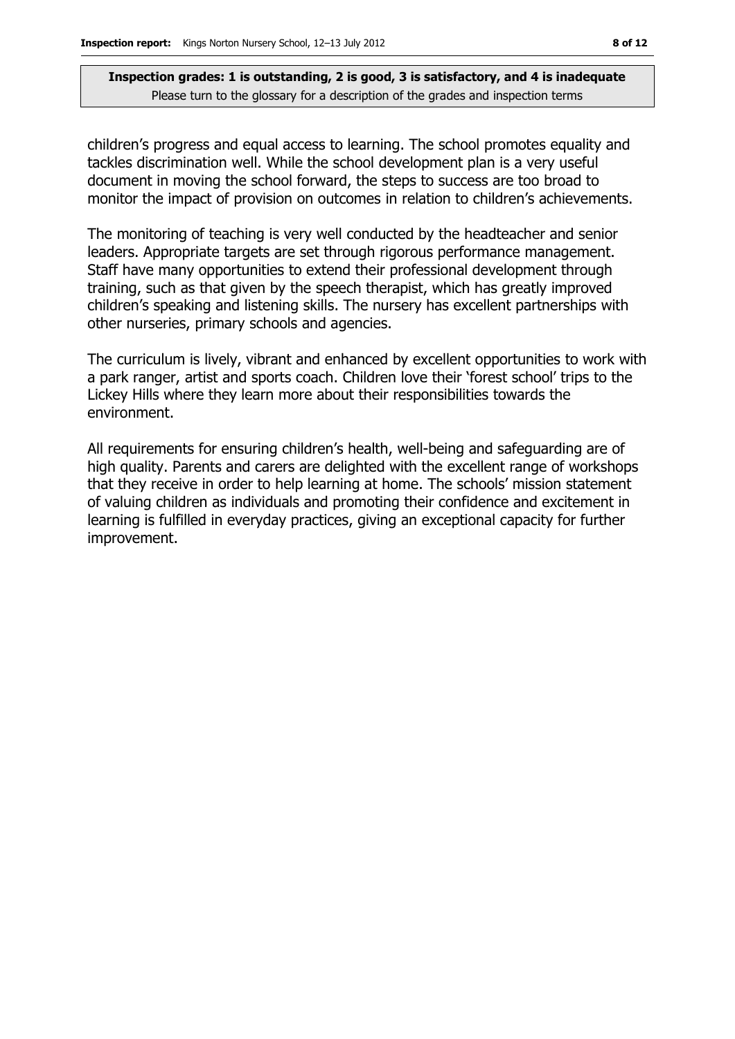children's progress and equal access to learning. The school promotes equality and tackles discrimination well. While the school development plan is a very useful document in moving the school forward, the steps to success are too broad to monitor the impact of provision on outcomes in relation to children's achievements.

The monitoring of teaching is very well conducted by the headteacher and senior leaders. Appropriate targets are set through rigorous performance management. Staff have many opportunities to extend their professional development through training, such as that given by the speech therapist, which has greatly improved children's speaking and listening skills. The nursery has excellent partnerships with other nurseries, primary schools and agencies.

The curriculum is lively, vibrant and enhanced by excellent opportunities to work with a park ranger, artist and sports coach. Children love their 'forest school' trips to the Lickey Hills where they learn more about their responsibilities towards the environment.

All requirements for ensuring children's health, well-being and safeguarding are of high quality. Parents and carers are delighted with the excellent range of workshops that they receive in order to help learning at home. The schools' mission statement of valuing children as individuals and promoting their confidence and excitement in learning is fulfilled in everyday practices, giving an exceptional capacity for further improvement.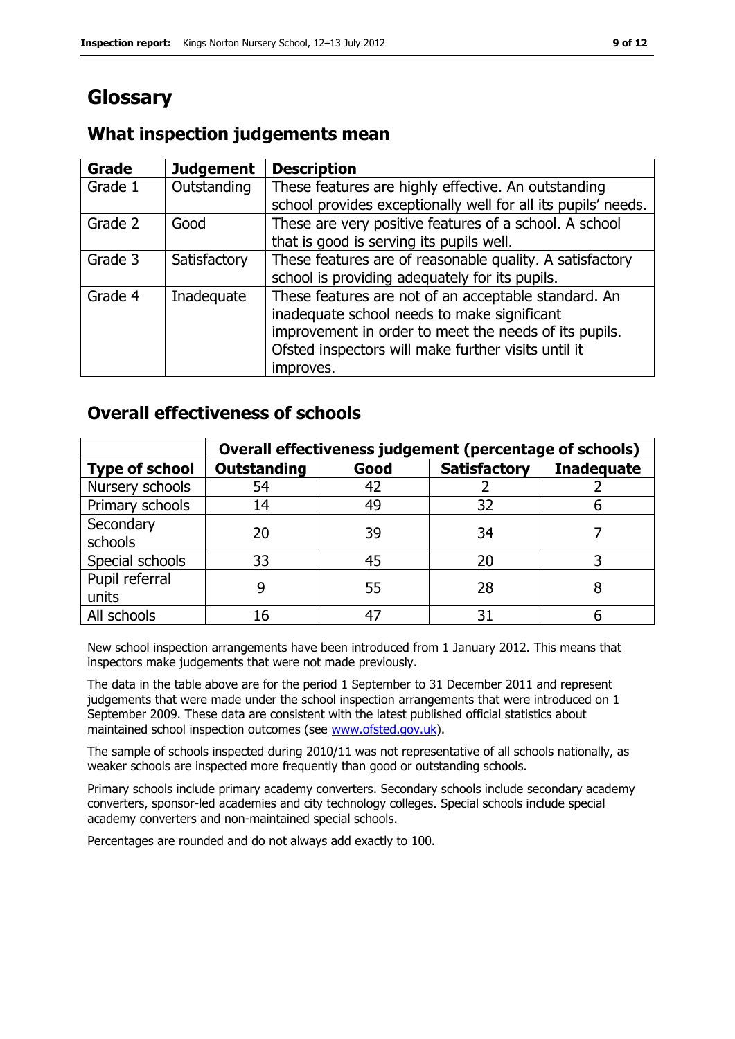## **Glossary**

#### **Grade Judgement Description** Grade  $1$  | Outstanding | These features are highly effective. An outstanding school provides exceptionally well for all its pupils' needs. Grade 2  $\Box$  Good These are very positive features of a school. A school that is good is serving its pupils well. Grade 3  $\parallel$  Satisfactory  $\parallel$  These features are of reasonable quality. A satisfactory school is providing adequately for its pupils. Grade 4 | Inadequate | These features are not of an acceptable standard. An inadequate school needs to make significant improvement in order to meet the needs of its pupils. Ofsted inspectors will make further visits until it improves.

## **What inspection judgements mean**

## **Overall effectiveness of schools**

|                         | Overall effectiveness judgement (percentage of schools) |      |                     |                   |
|-------------------------|---------------------------------------------------------|------|---------------------|-------------------|
| <b>Type of school</b>   | <b>Outstanding</b>                                      | Good | <b>Satisfactory</b> | <b>Inadequate</b> |
| Nursery schools         | 54                                                      | 42   |                     |                   |
| Primary schools         | 14                                                      | 49   | 32                  |                   |
| Secondary<br>schools    | 20                                                      | 39   | 34                  |                   |
| Special schools         | 33                                                      | 45   | 20                  |                   |
| Pupil referral<br>units |                                                         | 55   | 28                  |                   |
| All schools             | 16                                                      | 47   | 31                  |                   |

New school inspection arrangements have been introduced from 1 January 2012. This means that inspectors make judgements that were not made previously.

The data in the table above are for the period 1 September to 31 December 2011 and represent judgements that were made under the school inspection arrangements that were introduced on 1 September 2009. These data are consistent with the latest published official statistics about maintained school inspection outcomes (see [www.ofsted.gov.uk\)](http://www.ofsted.gov.uk/).

The sample of schools inspected during 2010/11 was not representative of all schools nationally, as weaker schools are inspected more frequently than good or outstanding schools.

Primary schools include primary academy converters. Secondary schools include secondary academy converters, sponsor-led academies and city technology colleges. Special schools include special academy converters and non-maintained special schools.

Percentages are rounded and do not always add exactly to 100.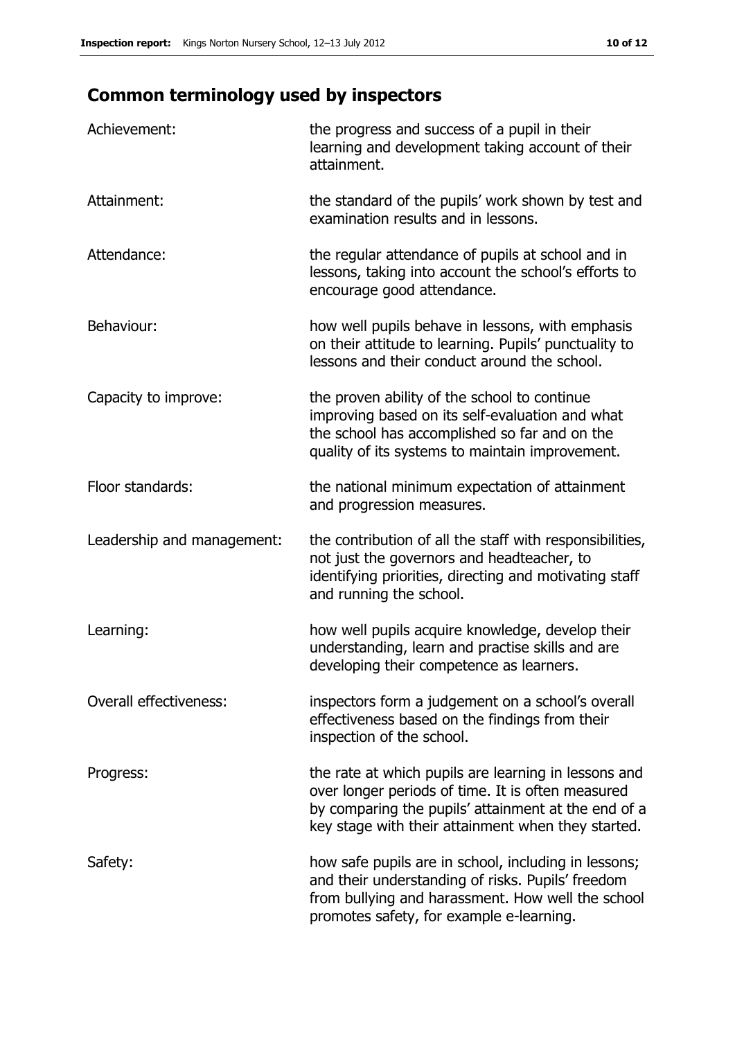## **Common terminology used by inspectors**

| Achievement:                  | the progress and success of a pupil in their<br>learning and development taking account of their<br>attainment.                                                                                                        |
|-------------------------------|------------------------------------------------------------------------------------------------------------------------------------------------------------------------------------------------------------------------|
| Attainment:                   | the standard of the pupils' work shown by test and<br>examination results and in lessons.                                                                                                                              |
| Attendance:                   | the regular attendance of pupils at school and in<br>lessons, taking into account the school's efforts to<br>encourage good attendance.                                                                                |
| Behaviour:                    | how well pupils behave in lessons, with emphasis<br>on their attitude to learning. Pupils' punctuality to<br>lessons and their conduct around the school.                                                              |
| Capacity to improve:          | the proven ability of the school to continue<br>improving based on its self-evaluation and what<br>the school has accomplished so far and on the<br>quality of its systems to maintain improvement.                    |
| Floor standards:              | the national minimum expectation of attainment<br>and progression measures.                                                                                                                                            |
| Leadership and management:    | the contribution of all the staff with responsibilities,<br>not just the governors and headteacher, to<br>identifying priorities, directing and motivating staff<br>and running the school.                            |
| Learning:                     | how well pupils acquire knowledge, develop their<br>understanding, learn and practise skills and are<br>developing their competence as learners.                                                                       |
| <b>Overall effectiveness:</b> | inspectors form a judgement on a school's overall<br>effectiveness based on the findings from their<br>inspection of the school.                                                                                       |
| Progress:                     | the rate at which pupils are learning in lessons and<br>over longer periods of time. It is often measured<br>by comparing the pupils' attainment at the end of a<br>key stage with their attainment when they started. |
| Safety:                       | how safe pupils are in school, including in lessons;<br>and their understanding of risks. Pupils' freedom<br>from bullying and harassment. How well the school<br>promotes safety, for example e-learning.             |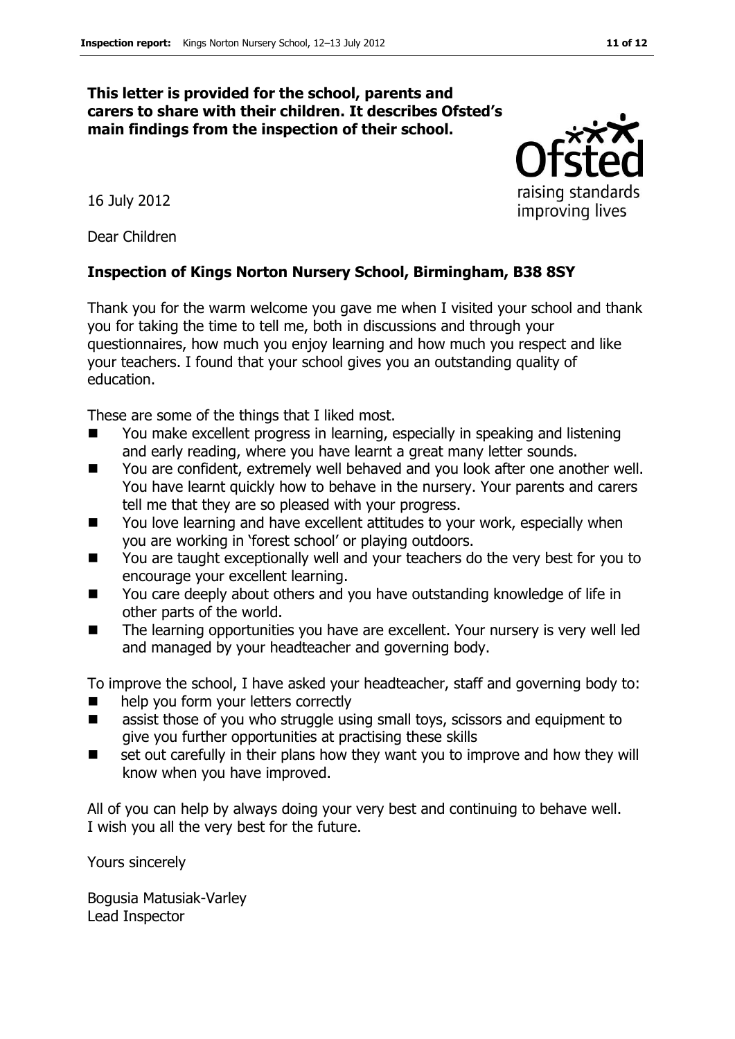#### **This letter is provided for the school, parents and carers to share with their children. It describes Ofsted's main findings from the inspection of their school.**

16 July 2012

Dear Children

#### **Inspection of Kings Norton Nursery School, Birmingham, B38 8SY**

Thank you for the warm welcome you gave me when I visited your school and thank you for taking the time to tell me, both in discussions and through your questionnaires, how much you enjoy learning and how much you respect and like your teachers. I found that your school gives you an outstanding quality of education.

These are some of the things that I liked most.

- You make excellent progress in learning, especially in speaking and listening and early reading, where you have learnt a great many letter sounds.
- You are confident, extremely well behaved and you look after one another well. You have learnt quickly how to behave in the nursery. Your parents and carers tell me that they are so pleased with your progress.
- You love learning and have excellent attitudes to your work, especially when you are working in 'forest school' or playing outdoors.
- You are taught exceptionally well and your teachers do the very best for you to encourage your excellent learning.
- You care deeply about others and you have outstanding knowledge of life in other parts of the world.
- The learning opportunities you have are excellent. Your nursery is very well led and managed by your headteacher and governing body.

To improve the school, I have asked your headteacher, staff and governing body to:

- help you form your letters correctly
- assist those of you who struggle using small toys, scissors and equipment to give you further opportunities at practising these skills
- set out carefully in their plans how they want you to improve and how they will know when you have improved.

All of you can help by always doing your very best and continuing to behave well. I wish you all the very best for the future.

Yours sincerely

Bogusia Matusiak-Varley Lead Inspector